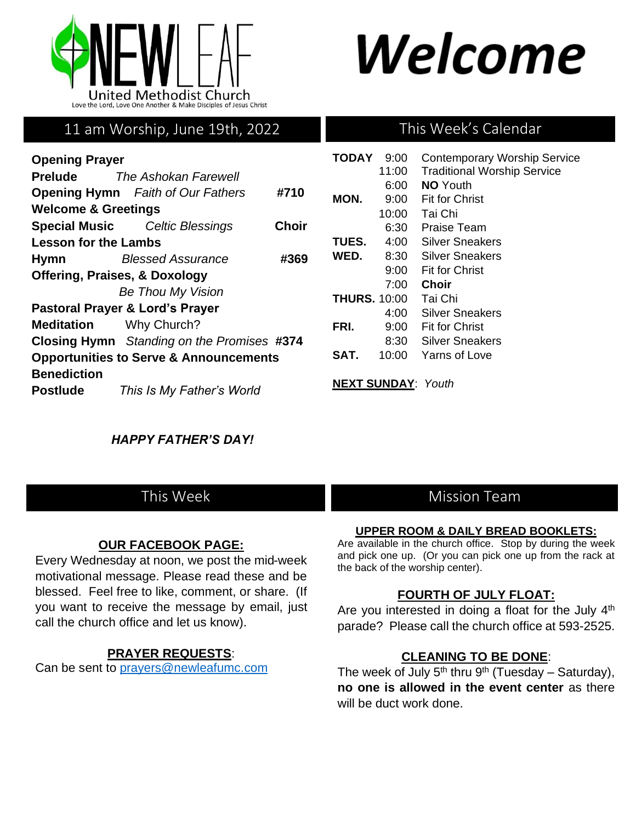

# Welcome

# 11 am Worship, June 19th, 2022

| <b>Opening Prayer</b>                             |                                          |       |  |  |
|---------------------------------------------------|------------------------------------------|-------|--|--|
|                                                   | <b>Prelude</b> The Ashokan Farewell      |       |  |  |
|                                                   | <b>Opening Hymn</b> Faith of Our Fathers | #710  |  |  |
| <b>Welcome &amp; Greetings</b>                    |                                          |       |  |  |
|                                                   | <b>Special Music</b> Celtic Blessings    | Choir |  |  |
| <b>Lesson for the Lambs</b>                       |                                          |       |  |  |
| <b>Hymn</b>                                       | <b>Blessed Assurance</b><br>#369         |       |  |  |
| <b>Offering, Praises, &amp; Doxology</b>          |                                          |       |  |  |
|                                                   | <b>Be Thou My Vision</b>                 |       |  |  |
| Pastoral Prayer & Lord's Prayer                   |                                          |       |  |  |
| <b>Meditation</b> Why Church?                     |                                          |       |  |  |
| <b>Closing Hymn</b> Standing on the Promises #374 |                                          |       |  |  |
| <b>Opportunities to Serve &amp; Announcements</b> |                                          |       |  |  |
| <b>Benediction</b>                                |                                          |       |  |  |
| Postlude                                          | This Is My Father's World                |       |  |  |

## This Week's Calendar

| <b>TODAY</b>        | 9:00  | <b>Contemporary Worship Service</b> |
|---------------------|-------|-------------------------------------|
|                     | 11:00 | <b>Traditional Worship Service</b>  |
|                     | 6:00  | <b>NO</b> Youth                     |
| MON.                | 9:00  | <b>Fit for Christ</b>               |
|                     | 10:00 | Tai Chi                             |
|                     | 6:30  | Praise Team                         |
| <b>TUES.</b>        | 4:00  | Silver Sneakers                     |
| WED.                | 8:30  | Silver Sneakers                     |
|                     | 9:00  | <b>Fit for Christ</b>               |
|                     | 7:00  | Choir                               |
| <b>THURS. 10:00</b> |       | Tai Chi                             |
|                     | 4:00  | Silver Sneakers                     |
| FRI.                | 9:00  | Fit for Christ                      |
|                     | 8:30  | Silver Sneakers                     |
| SAT.                | 10:00 | Yarns of Love                       |
|                     |       |                                     |

**NEXT SUNDAY**: *Youth*

## *HAPPY FATHER'S DAY!*

# This Week

## **OUR FACEBOOK PAGE:**

Every Wednesday at noon, we post the mid-week motivational message. Please read these and be blessed. Feel free to like, comment, or share. (If you want to receive the message by email, just call the church office and let us know).

### **PRAYER REQUESTS**:

Can be sent to [prayers@newleafumc.com](mailto:prayers@newleafumc.com)

## Mission Team

#### **UPPER ROOM & DAILY BREAD BOOKLETS:**

Are available in the church office. Stop by during the week and pick one up. (Or you can pick one up from the rack at the back of the worship center).

## **FOURTH OF JULY FLOAT:**

Are you interested in doing a float for the July 4<sup>th</sup> parade? Please call the church office at 593-2525.

## **CLEANING TO BE DONE**:

The week of July  $5<sup>th</sup>$  thru  $9<sup>th</sup>$  (Tuesday – Saturday), **no one is allowed in the event center** as there will be duct work done.